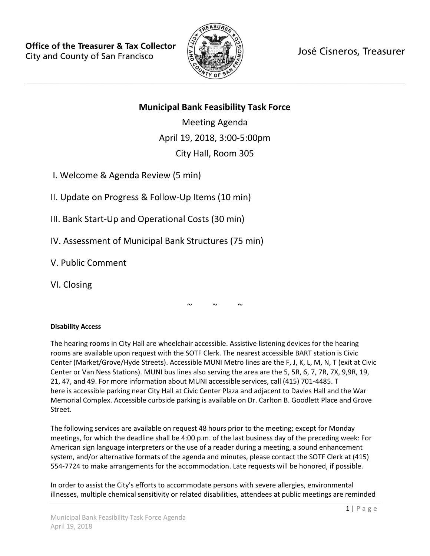

José Cisneros, Treasurer

# **Municipal Bank Feasibility Task Force**

Meeting Agenda April 19, 2018, 3:00-5:00pm City Hall, Room 305

I. Welcome & Agenda Review (5 min)

II. Update on Progress & Follow-Up Items (10 min)

III. Bank Start-Up and Operational Costs (30 min)

IV. Assessment of Municipal Bank Structures (75 min)

V. Public Comment

VI. Closing

 $\sim$   $\sim$   $\sim$ 

## **Disability Access**

The hearing rooms in City Hall are wheelchair accessible. Assistive listening devices for the hearing rooms are available upon request with the SOTF Clerk. The nearest accessible BART station is Civic Center (Market/Grove/Hyde Streets). Accessible MUNI Metro lines are the F, J, K, L, M, N, T (exit at Civic Center or Van Ness Stations). MUNI bus lines also serving the area are the 5, 5R, 6, 7, 7R, 7X, 9,9R, 19, 21, 47, and 49. For more information about MUNI accessible services, call (415) 701-4485. T here is accessible parking near City Hall at Civic Center Plaza and adjacent to Davies Hall and the War Memorial Complex. Accessible curbside parking is available on Dr. Carlton B. Goodlett Place and Grove Street.

The following services are available on request 48 hours prior to the meeting; except for Monday meetings, for which the deadline shall be 4:00 p.m. of the last business day of the preceding week: For American sign language interpreters or the use of a reader during a meeting, a sound enhancement system, and/or alternative formats of the agenda and minutes, please contact the SOTF Clerk at (415) 554-7724 to make arrangements for the accommodation. Late requests will be honored, if possible.

In order to assist the City's efforts to accommodate persons with severe allergies, environmental illnesses, multiple chemical sensitivity or related disabilities, attendees at public meetings are reminded